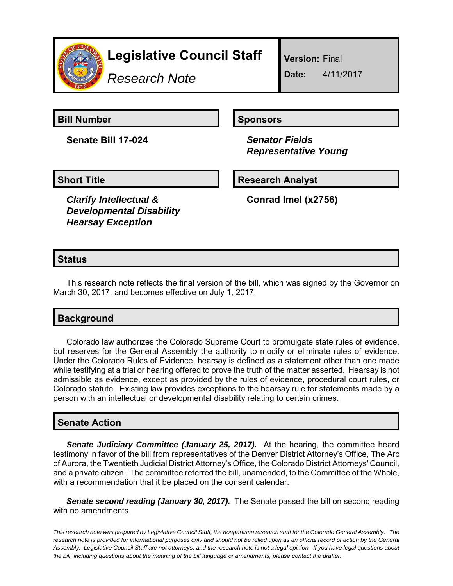

# **Legislative Council Staff**

*Research Note*

**Version:** Final

**Date:** 4/11/2017

**Bill Number Sponsors** 

**Senate Bill 17-024** *Senator Fields*

 *Representative Young*

*Clarify Intellectual & Developmental Disability Hearsay Exception*

**Short Title Community Community Community Research Analyst** 

**Conrad Imel (x2756)**

## **Status**

This research note reflects the final version of the bill, which was signed by the Governor on March 30, 2017, and becomes effective on July 1, 2017.

# **Background**

Colorado law authorizes the Colorado Supreme Court to promulgate state rules of evidence, but reserves for the General Assembly the authority to modify or eliminate rules of evidence. Under the Colorado Rules of Evidence, hearsay is defined as a statement other than one made while testifying at a trial or hearing offered to prove the truth of the matter asserted. Hearsay is not admissible as evidence, except as provided by the rules of evidence, procedural court rules, or Colorado statute. Existing law provides exceptions to the hearsay rule for statements made by a person with an intellectual or developmental disability relating to certain crimes.

### **Senate Action**

*Senate Judiciary Committee (January 25, 2017).* At the hearing, the committee heard testimony in favor of the bill from representatives of the Denver District Attorney's Office, The Arc of Aurora, the Twentieth Judicial District Attorney's Office, the Colorado District Attorneys' Council, and a private citizen. The committee referred the bill, unamended, to the Committee of the Whole, with a recommendation that it be placed on the consent calendar.

**Senate second reading (January 30, 2017).** The Senate passed the bill on second reading with no amendments.

*This research note was prepared by Legislative Council Staff, the nonpartisan research staff for the Colorado General Assembly. The research note is provided for informational purposes only and should not be relied upon as an official record of action by the General Assembly. Legislative Council Staff are not attorneys, and the research note is not a legal opinion. If you have legal questions about the bill, including questions about the meaning of the bill language or amendments, please contact the drafter.*